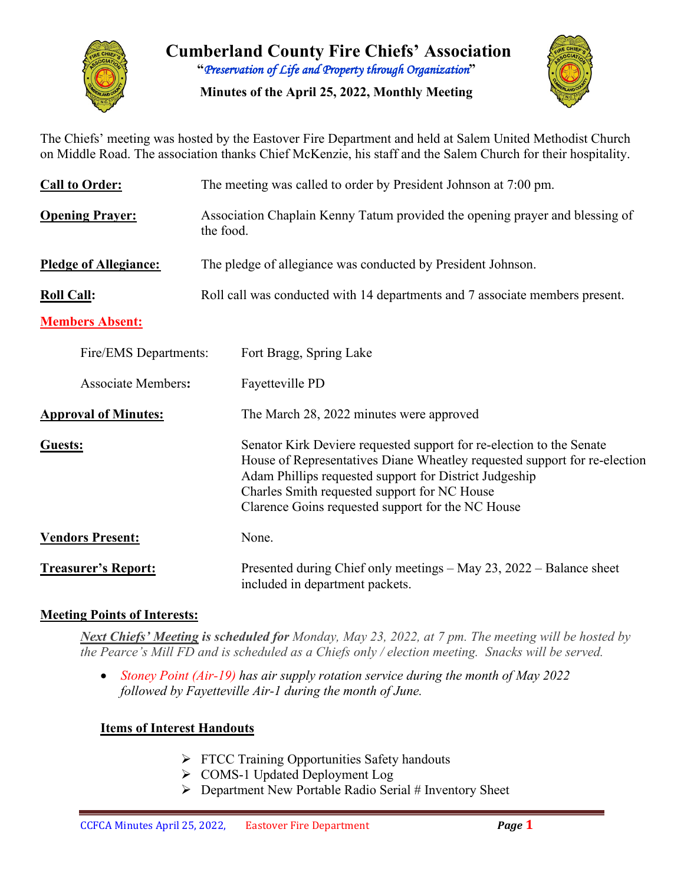

**Cumberland County Fire Chiefs' Association "***Preservation of Life and Property through Organization***"**

**Minutes of the April 25, 2022, Monthly Meeting**



The Chiefs' meeting was hosted by the Eastover Fire Department and held at Salem United Methodist Church on Middle Road. The association thanks Chief McKenzie, his staff and the Salem Church for their hospitality.

| <b>Call to Order:</b>        | The meeting was called to order by President Johnson at 7:00 pm.                                                                                                                                                                                                                                                 |  |  |  |  |  |  |  |
|------------------------------|------------------------------------------------------------------------------------------------------------------------------------------------------------------------------------------------------------------------------------------------------------------------------------------------------------------|--|--|--|--|--|--|--|
| <b>Opening Prayer:</b>       | Association Chaplain Kenny Tatum provided the opening prayer and blessing of<br>the food.                                                                                                                                                                                                                        |  |  |  |  |  |  |  |
| <b>Pledge of Allegiance:</b> | The pledge of allegiance was conducted by President Johnson.                                                                                                                                                                                                                                                     |  |  |  |  |  |  |  |
| <b>Roll Call:</b>            | Roll call was conducted with 14 departments and 7 associate members present.                                                                                                                                                                                                                                     |  |  |  |  |  |  |  |
| <b>Members Absent:</b>       |                                                                                                                                                                                                                                                                                                                  |  |  |  |  |  |  |  |
| Fire/EMS Departments:        | Fort Bragg, Spring Lake                                                                                                                                                                                                                                                                                          |  |  |  |  |  |  |  |
| <b>Associate Members:</b>    | Fayetteville PD                                                                                                                                                                                                                                                                                                  |  |  |  |  |  |  |  |
| <b>Approval of Minutes:</b>  | The March 28, 2022 minutes were approved                                                                                                                                                                                                                                                                         |  |  |  |  |  |  |  |
| Guests:                      | Senator Kirk Deviere requested support for re-election to the Senate<br>House of Representatives Diane Wheatley requested support for re-election<br>Adam Phillips requested support for District Judgeship<br>Charles Smith requested support for NC House<br>Clarence Goins requested support for the NC House |  |  |  |  |  |  |  |
| <b>Vendors Present:</b>      | None.                                                                                                                                                                                                                                                                                                            |  |  |  |  |  |  |  |
| <b>Treasurer's Report:</b>   | Presented during Chief only meetings – May 23, 2022 – Balance sheet<br>included in department packets.                                                                                                                                                                                                           |  |  |  |  |  |  |  |

#### **Meeting Points of Interests:**

*Next Chiefs' Meeting is scheduled for Monday, May 23, 2022, at 7 pm. The meeting will be hosted by the Pearce's Mill FD and is scheduled as a Chiefs only / election meeting. Snacks will be served.* 

• *Stoney Point (Air-19) has air supply rotation service during the month of May 2022 followed by Fayetteville Air-1 during the month of June.* 

#### **Items of Interest Handouts**

- $\triangleright$  FTCC Training Opportunities Safety handouts
- COMS-1 Updated Deployment Log
- $\triangleright$  Department New Portable Radio Serial # Inventory Sheet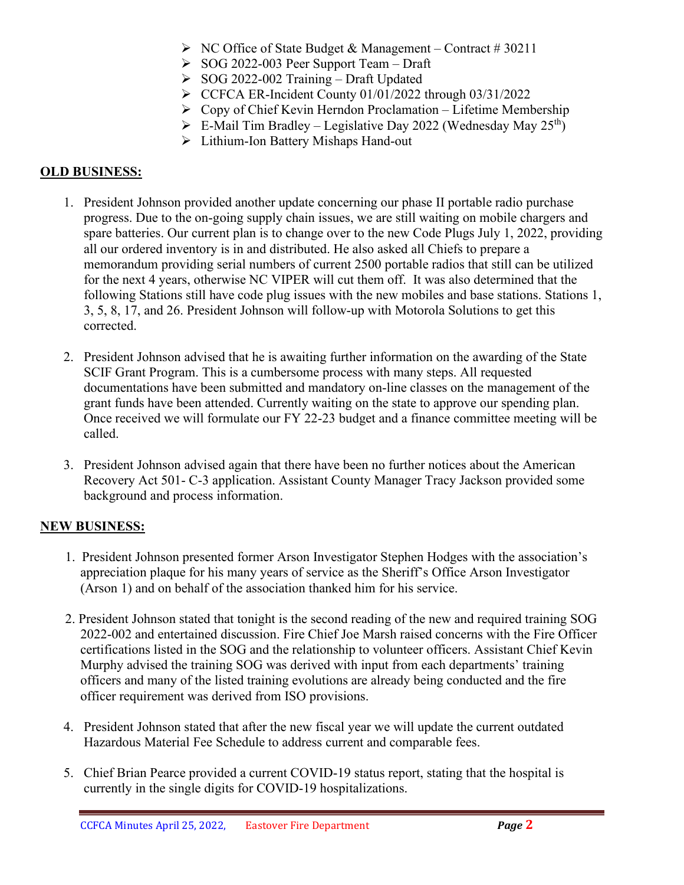- $\triangleright$  NC Office of State Budget & Management Contract #30211
- $\geq$  SOG 2022-003 Peer Support Team Draft
- $\geq$  SOG 2022-002 Training Draft Updated
- $\triangleright$  CCFCA ER-Incident County 01/01/2022 through 03/31/2022
- $\triangleright$  Copy of Chief Kevin Herndon Proclamation Lifetime Membership
- $\triangleright$  E-Mail Tim Bradley Legislative Day 2022 (Wednesday May 25<sup>th</sup>)
- > Lithium-Ion Battery Mishaps Hand-out

### **OLD BUSINESS:**

- 1. President Johnson provided another update concerning our phase II portable radio purchase progress. Due to the on-going supply chain issues, we are still waiting on mobile chargers and spare batteries. Our current plan is to change over to the new Code Plugs July 1, 2022, providing all our ordered inventory is in and distributed. He also asked all Chiefs to prepare a memorandum providing serial numbers of current 2500 portable radios that still can be utilized for the next 4 years, otherwise NC VIPER will cut them off. It was also determined that the following Stations still have code plug issues with the new mobiles and base stations. Stations 1, 3, 5, 8, 17, and 26. President Johnson will follow-up with Motorola Solutions to get this corrected.
- 2. President Johnson advised that he is awaiting further information on the awarding of the State SCIF Grant Program. This is a cumbersome process with many steps. All requested documentations have been submitted and mandatory on-line classes on the management of the grant funds have been attended. Currently waiting on the state to approve our spending plan. Once received we will formulate our FY 22-23 budget and a finance committee meeting will be called.
- 3. President Johnson advised again that there have been no further notices about the American Recovery Act 501- C-3 application. Assistant County Manager Tracy Jackson provided some background and process information.

## **NEW BUSINESS:**

- 1. President Johnson presented former Arson Investigator Stephen Hodges with the association's appreciation plaque for his many years of service as the Sheriff's Office Arson Investigator (Arson 1) and on behalf of the association thanked him for his service.
- 2. President Johnson stated that tonight is the second reading of the new and required training SOG 2022-002 and entertained discussion. Fire Chief Joe Marsh raised concerns with the Fire Officer certifications listed in the SOG and the relationship to volunteer officers. Assistant Chief Kevin Murphy advised the training SOG was derived with input from each departments' training officers and many of the listed training evolutions are already being conducted and the fire officer requirement was derived from ISO provisions.
- 4. President Johnson stated that after the new fiscal year we will update the current outdated Hazardous Material Fee Schedule to address current and comparable fees.
- 5. Chief Brian Pearce provided a current COVID-19 status report, stating that the hospital is currently in the single digits for COVID-19 hospitalizations.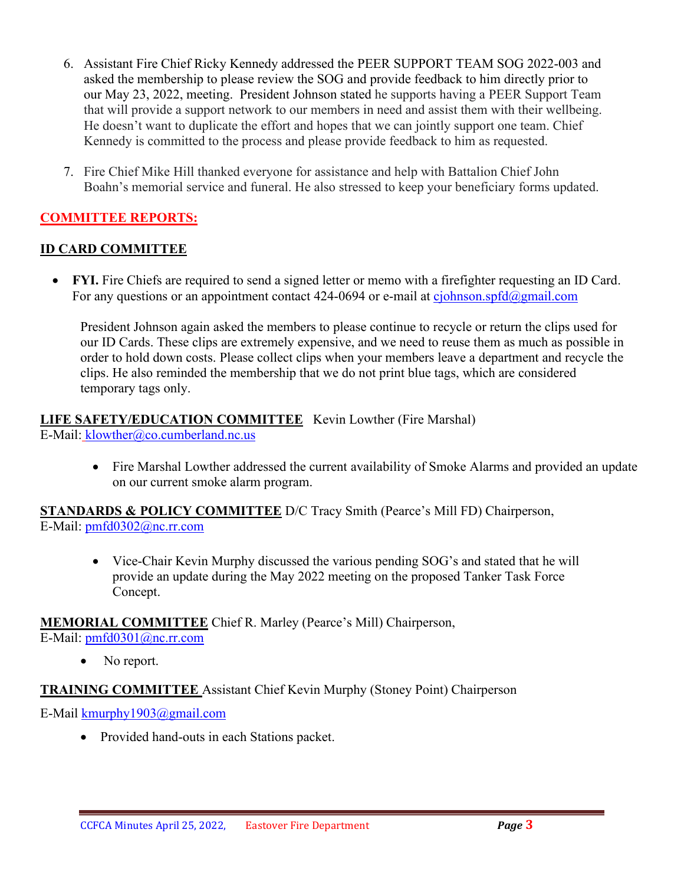- 6. Assistant Fire Chief Ricky Kennedy addressed the PEER SUPPORT TEAM SOG 2022-003 and asked the membership to please review the SOG and provide feedback to him directly prior to our May 23, 2022, meeting. President Johnson stated he supports having a PEER Support Team that will provide a support network to our members in need and assist them with their wellbeing. He doesn't want to duplicate the effort and hopes that we can jointly support one team. Chief Kennedy is committed to the process and please provide feedback to him as requested.
- 7. Fire Chief Mike Hill thanked everyone for assistance and help with Battalion Chief John Boahn's memorial service and funeral. He also stressed to keep your beneficiary forms updated.

# **COMMITTEE REPORTS:**

# **ID CARD COMMITTEE**

• **FYI.** Fire Chiefs are required to send a signed letter or memo with a firefighter requesting an ID Card. For any questions or an appointment contact 424-0694 or e-mail at [cjohnson.spfd@gmail.com](mailto:cjohnson.spfd@gmail.com)

President Johnson again asked the members to please continue to recycle or return the clips used for our ID Cards. These clips are extremely expensive, and we need to reuse them as much as possible in order to hold down costs. Please collect clips when your members leave a department and recycle the clips. He also reminded the membership that we do not print blue tags, which are considered temporary tags only.

#### **LIFE SAFETY/EDUCATION COMMITTEE** Kevin Lowther (Fire Marshal) E-Mail: [klowther@co.cumberland.nc.us](mailto:klowther@co.cumberland.nc.us)

• Fire Marshal Lowther addressed the current availability of Smoke Alarms and provided an update on our current smoke alarm program.

**STANDARDS & POLICY COMMITTEE** D/C Tracy Smith (Pearce's Mill FD) Chairperson, E-Mail: [pmfd0302@nc.rr.com](mailto:pmfd0302@nc.rr.com)

> • Vice-Chair Kevin Murphy discussed the various pending SOG's and stated that he will provide an update during the May 2022 meeting on the proposed Tanker Task Force Concept.

**MEMORIAL COMMITTEE** Chief R. Marley (Pearce's Mill) Chairperson,

E-Mail: [pmfd0301@nc.rr.com](mailto:pmfd0301@nc.rr.com)

• No report.

## **TRAINING COMMITTEE** Assistant Chief Kevin Murphy (Stoney Point) Chairperson

E-Mail [kmurphy1903@gmail.com](mailto:kmurphy1903@gmail.com)

• Provided hand-outs in each Stations packet.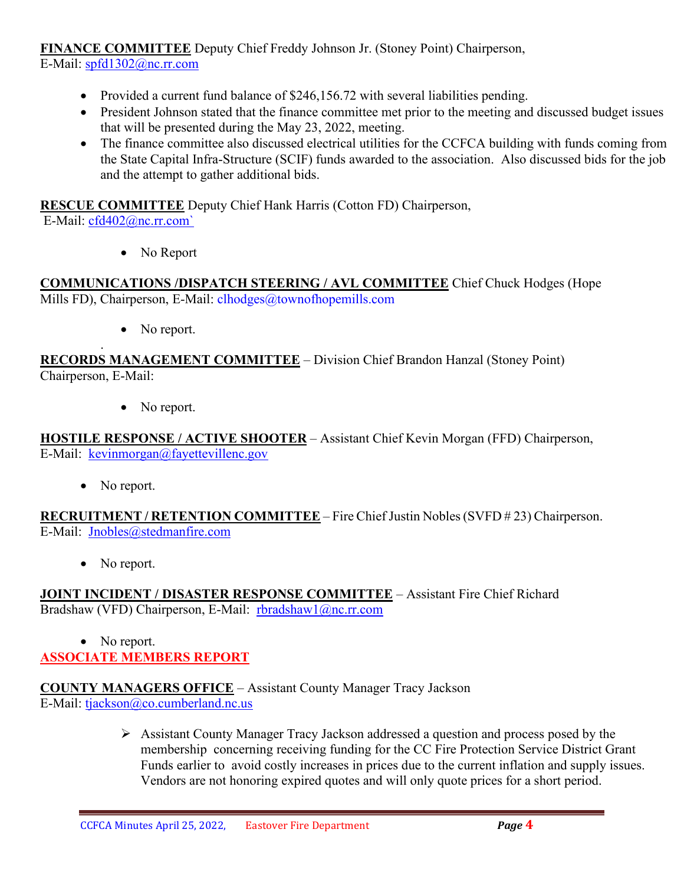**FINANCE COMMITTEE** Deputy Chief Freddy Johnson Jr. (Stoney Point) Chairperson, E-Mail: [spfd1302@nc.rr.com](mailto:spfd1302@nc.rr.com)

- Provided a current fund balance of \$246,156.72 with several liabilities pending.
- President Johnson stated that the finance committee met prior to the meeting and discussed budget issues that will be presented during the May 23, 2022, meeting.
- The finance committee also discussed electrical utilities for the CCFCA building with funds coming from the State Capital Infra-Structure (SCIF) funds awarded to the association. Also discussed bids for the job and the attempt to gather additional bids.

**RESCUE COMMITTEE** Deputy Chief Hank Harris (Cotton FD) Chairperson,

E-Mail: [cfd402@nc.rr.com`](mailto:cfd402@nc.rr.com)

• No Report

**COMMUNICATIONS /DISPATCH STEERING / AVL COMMITTEE** Chief Chuck Hodges (Hope Mills FD), Chairperson, E-Mail: clhodges@townofhopemills.com

• No report.

. **RECORDS MANAGEMENT COMMITTEE** – Division Chief Brandon Hanzal (Stoney Point) Chairperson, E-Mail:

• No report.

**HOSTILE RESPONSE / ACTIVE SHOOTER** – Assistant Chief Kevin Morgan (FFD) Chairperson, E-Mail: [kevinmorgan@fayettevillenc.gov](mailto:kevinmorgan@fayettevillenc.gov)

• No report.

**RECRUITMENT / RETENTION COMMITTEE** – Fire Chief Justin Nobles (SVFD # 23) Chairperson. E-Mail: [Jnobles@stedmanfire.com](mailto:Jnobles@stedmanfire.com)

• No report.

**JOINT INCIDENT / DISASTER RESPONSE COMMITTEE** – Assistant Fire Chief Richard Bradshaw (VFD) Chairperson, E-Mail: [rbradshaw1@nc.rr.com](mailto:rbradshaw1@nc.rr.com)

• No report. **ASSOCIATE MEMBERS REPORT**

**COUNTY MANAGERS OFFICE** – Assistant County Manager Tracy Jackson E-Mail: [tjackson@co.cumberland.nc.us](mailto:tjackson@co.cumberland.nc.us)

> Assistant County Manager Tracy Jackson addressed a question and process posed by the membership concerning receiving funding for the CC Fire Protection Service District Grant Funds earlier to avoid costly increases in prices due to the current inflation and supply issues. Vendors are not honoring expired quotes and will only quote prices for a short period.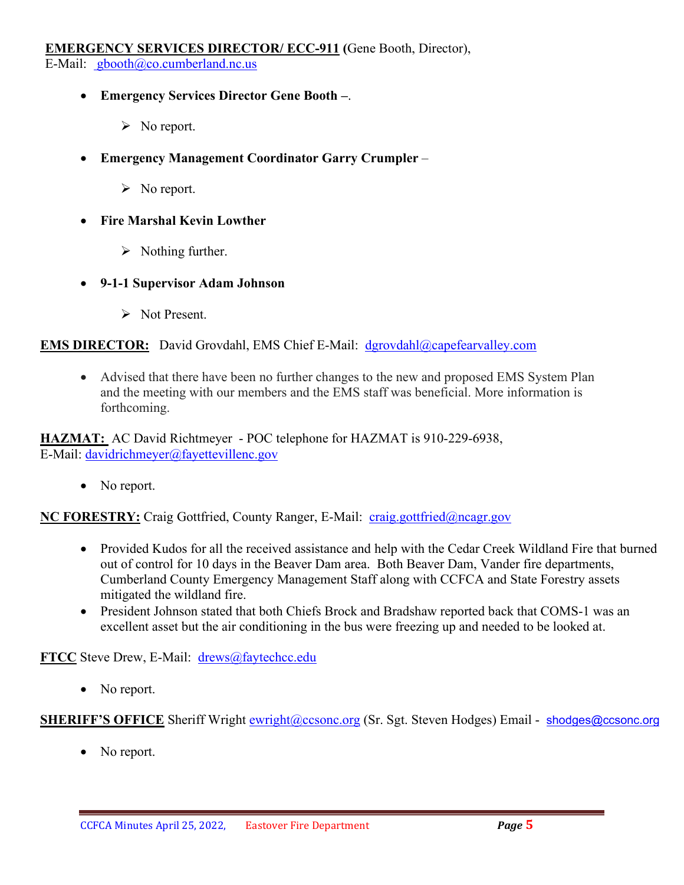#### **EMERGENCY SERVICES DIRECTOR/ ECC-911 (**Gene Booth, Director), E-Mail: [gbooth@co.cumberland.nc.us](mailto:gbooth@co.cumberland.nc.us)

• **Emergency Services Director Gene Booth –**.

- $\triangleright$  No report.
- **Emergency Management Coordinator Garry Crumpler**
	- $\triangleright$  No report.
- **Fire Marshal Kevin Lowther**
	- $\triangleright$  Nothing further.
- **9-1-1 Supervisor Adam Johnson**
	- S Not Present.

#### **EMS DIRECTOR:** David Grovdahl, EMS Chief E-Mail: [dgrovdahl@capefearvalley.com](mailto:dgrovdahl@capefearvalley.com)

• Advised that there have been no further changes to the new and proposed EMS System Plan and the meeting with our members and the EMS staff was beneficial. More information is forthcoming.

**HAZMAT:** AC David Richtmeyer - POC telephone for HAZMAT is 910-229-6938, E-Mail: [davidrichmeyer@fayettevillenc.gov](mailto:davidrichmeyer@fayettevillenc.gov)

• No report.

**NC FORESTRY:** Craig Gottfried, County Ranger, E-Mail: [craig.gottfried@ncagr.gov](mailto:craig.gottfried@ncagr.gov)

- Provided Kudos for all the received assistance and help with the Cedar Creek Wildland Fire that burned out of control for 10 days in the Beaver Dam area. Both Beaver Dam, Vander fire departments, Cumberland County Emergency Management Staff along with CCFCA and State Forestry assets mitigated the wildland fire.
- President Johnson stated that both Chiefs Brock and Bradshaw reported back that COMS-1 was an excellent asset but the air conditioning in the bus were freezing up and needed to be looked at.

**FTCC** Steve Drew, E-Mail: [drews@faytechcc.edu](mailto:drews@faytechcc.edu)

• No report.

**SHERIFF'S OFFICE** Sheriff Wright [ewright@ccsonc.org](mailto:ewright@ccsonc.org) (Sr. Sgt. Steven Hodges) Email - [shodges@ccsonc.org](mailto:shodges@ccsonc.org)

• No report.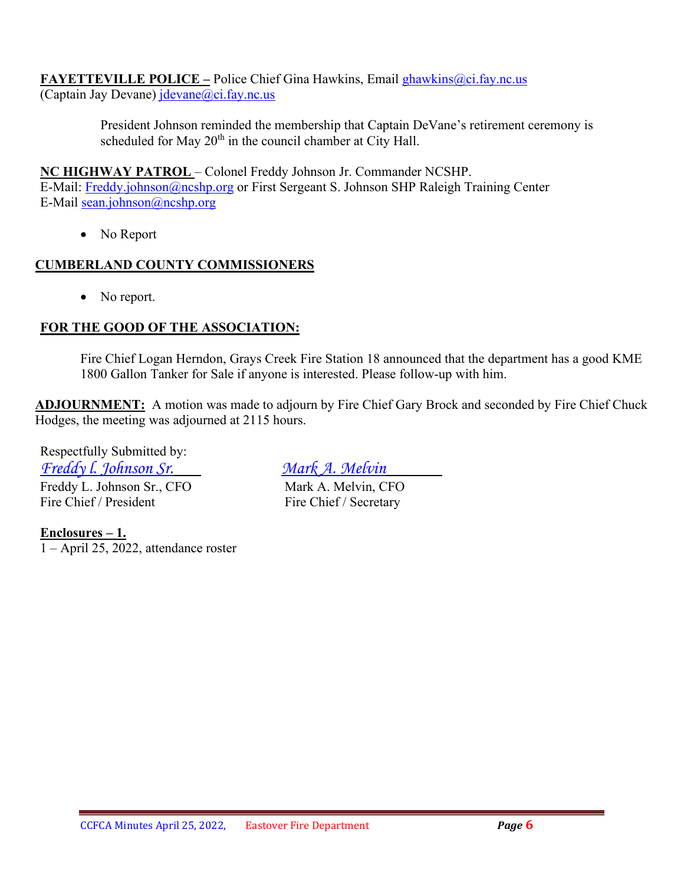**FAYETTEVILLE POLICE –** Police Chief Gina Hawkins, Email [ghawkins@ci.fay.nc.us](mailto:ghawkins@ci.fay.nc.us)  (Captain Jay Devane) [jdevane@ci.fay.nc.us](mailto:jdevane@ci.fay.nc.us)

> President Johnson reminded the membership that Captain DeVane's retirement ceremony is scheduled for May  $20<sup>th</sup>$  in the council chamber at City Hall.

### **NC HIGHWAY PATROL** – Colonel Freddy Johnson Jr. Commander NCSHP.

E-Mail: [Freddy.johnson@ncshp.org](mailto:Freddy.johnson@ncshp.org) or First Sergeant S. Johnson SHP Raleigh Training Center E-Mail [sean.johnson@ncshp.org](mailto:sean.johnson@ncshp.org)

• No Report

### **CUMBERLAND COUNTY COMMISSIONERS**

• No report.

## **FOR THE GOOD OF THE ASSOCIATION:**

Fire Chief Logan Herndon, Grays Creek Fire Station 18 announced that the department has a good KME 1800 Gallon Tanker for Sale if anyone is interested. Please follow-up with him.

**ADJOURNMENT:** A motion was made to adjourn by Fire Chief Gary Brock and seconded by Fire Chief Chuck Hodges, the meeting was adjourned at 2115 hours.

Respectfully Submitted by: *Freddy l. Johnson Sr. Mark A. Melvin* Freddy L. Johnson Sr., CFO Mark A. Melvin, CFO Fire Chief / President Fire Chief / Secretary

**Enclosures – 1.** 1 – April 25, 2022, attendance roster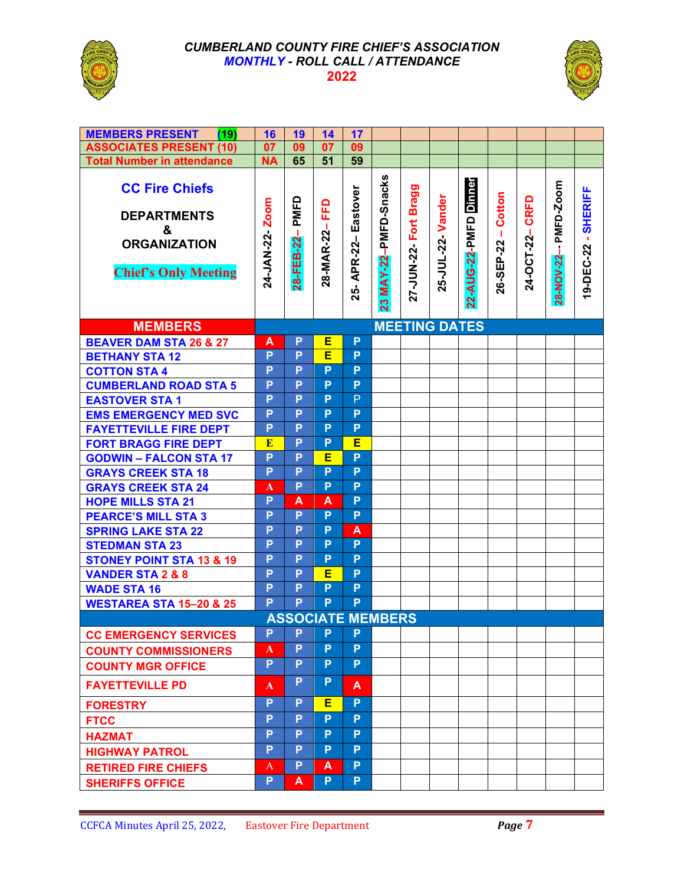

#### *CUMBERLAND COUNTY FIRE CHIEF'S ASSOCIATION MONTHLY - ROLL CALL / ATTENDANCE*  **2022**



| <b>MEMBERS PRESENT</b><br>(19)                                                                         | 16                   | 19                | 14                | 17                         |                          |                          |                   |                          |                      |                |                      |                     |  |
|--------------------------------------------------------------------------------------------------------|----------------------|-------------------|-------------------|----------------------------|--------------------------|--------------------------|-------------------|--------------------------|----------------------|----------------|----------------------|---------------------|--|
| <b>ASSOCIATES PRESENT (10)</b>                                                                         | 07                   | 09                | 07                | 09                         |                          |                          |                   |                          |                      |                |                      |                     |  |
| <b>Total Number in attendance</b>                                                                      | <b>NA</b>            | 65                | 51                | 59                         |                          |                          |                   |                          |                      |                |                      |                     |  |
| <b>CC Fire Chiefs</b><br><b>DEPARTMENTS</b><br>&<br><b>ORGANIZATION</b><br><b>Chief's Only Meeting</b> | Zoom<br>24-JAN-22-   | PMFD<br>28-FEB-22 | EFD<br>28-MAR-22- | Eastover<br>APR-22-<br>25- | MAY-22-PMFD-Snacks<br>23 | Fort Bragg<br>27-JUN-22- | 25-JUL-22- Vander | Dinner<br>22-AUG-22-PMFD | Cotton<br>26-SEP-22- | 24-OCT-22-CRFD | 28-NOV-22- PMFD-Zoom | 19-DEC-22 - SHERIFF |  |
| <b>MEMBERS</b>                                                                                         | <b>MEETING DATES</b> |                   |                   |                            |                          |                          |                   |                          |                      |                |                      |                     |  |
| <b>BEAVER DAM STA 26 &amp; 27</b>                                                                      | A                    | P                 | Е                 | P                          |                          |                          |                   |                          |                      |                |                      |                     |  |
| <b>BETHANY STA 12</b>                                                                                  | P                    | P                 | Ē                 | P                          |                          |                          |                   |                          |                      |                |                      |                     |  |
| <b>COTTON STA 4</b>                                                                                    | P                    | P                 | P                 | P                          |                          |                          |                   |                          |                      |                |                      |                     |  |
| <b>CUMBERLAND ROAD STA 5</b>                                                                           | P                    | P                 | P                 | P                          |                          |                          |                   |                          |                      |                |                      |                     |  |
| <b>EASTOVER STA1</b>                                                                                   | P                    | P                 | P                 | P                          |                          |                          |                   |                          |                      |                |                      |                     |  |
| <b>EMS EMERGENCY MED SVC</b>                                                                           | P                    | P                 | P                 | P                          |                          |                          |                   |                          |                      |                |                      |                     |  |
| <b>FAYETTEVILLE FIRE DEPT</b>                                                                          | P                    | P                 | P                 | P                          |                          |                          |                   |                          |                      |                |                      |                     |  |
| <b>FORT BRAGG FIRE DEPT</b>                                                                            | ${\bf E}$            | P                 | P                 | Ε                          |                          |                          |                   |                          |                      |                |                      |                     |  |
| <b>GODWIN - FALCON STA 17</b>                                                                          | P                    | P                 | Е                 | $\overline{P}$             |                          |                          |                   |                          |                      |                |                      |                     |  |
| <b>GRAYS CREEK STA 18</b>                                                                              | P                    | P                 | P                 | P                          |                          |                          |                   |                          |                      |                |                      |                     |  |
| <b>GRAYS CREEK STA 24</b>                                                                              | A                    | P                 | P                 | P                          |                          |                          |                   |                          |                      |                |                      |                     |  |
| <b>HOPE MILLS STA 21</b>                                                                               | P                    | A                 | A                 | P                          |                          |                          |                   |                          |                      |                |                      |                     |  |
| <b>PEARCE'S MILL STA 3</b>                                                                             | P                    | P                 | P                 | P                          |                          |                          |                   |                          |                      |                |                      |                     |  |
| <b>SPRING LAKE STA 22</b>                                                                              | P                    | P                 | P                 | A                          |                          |                          |                   |                          |                      |                |                      |                     |  |
| <b>STEDMAN STA 23</b>                                                                                  | P                    | P                 | P                 | P                          |                          |                          |                   |                          |                      |                |                      |                     |  |
| <b>STONEY POINT STA 13 &amp; 19</b>                                                                    | P                    | P                 | P                 | P                          |                          |                          |                   |                          |                      |                |                      |                     |  |
| <b>VANDER STA 2 &amp; 8</b>                                                                            | P                    | P                 | Е                 | P                          |                          |                          |                   |                          |                      |                |                      |                     |  |
| <b>WADE STA 16</b>                                                                                     | P                    | P                 | P                 | P                          |                          |                          |                   |                          |                      |                |                      |                     |  |
| <b>WESTAREA STA 15-20 &amp; 25</b>                                                                     | P                    | P                 | P                 | P                          |                          |                          |                   |                          |                      |                |                      |                     |  |
| <b>ASSOCIATE MEMBERS</b>                                                                               |                      |                   |                   |                            |                          |                          |                   |                          |                      |                |                      |                     |  |
| <b>CC EMERGENCY SERVICES</b>                                                                           | P                    | P                 | P                 | P                          |                          |                          |                   |                          |                      |                |                      |                     |  |
| <b>COUNTY COMMISSIONERS</b>                                                                            | A                    | P                 | P                 | P                          |                          |                          |                   |                          |                      |                |                      |                     |  |
| <b>COUNTY MGR OFFICE</b>                                                                               | P                    | P                 | P                 | P.                         |                          |                          |                   |                          |                      |                |                      |                     |  |
| <b>FAYETTEVILLE PD</b>                                                                                 | A                    | P                 | P                 | A                          |                          |                          |                   |                          |                      |                |                      |                     |  |
| <b>FORESTRY</b>                                                                                        | P                    | P                 | Е                 | P                          |                          |                          |                   |                          |                      |                |                      |                     |  |
| <b>FTCC</b>                                                                                            | P                    | P                 | P                 | P.                         |                          |                          |                   |                          |                      |                |                      |                     |  |
| <b>HAZMAT</b>                                                                                          | P                    | P                 | P                 | P.                         |                          |                          |                   |                          |                      |                |                      |                     |  |
| <b>HIGHWAY PATROL</b>                                                                                  | P                    | P                 | P                 | P                          |                          |                          |                   |                          |                      |                |                      |                     |  |
|                                                                                                        | A                    | P                 | A                 | P                          |                          |                          |                   |                          |                      |                |                      |                     |  |
| <b>RETIRED FIRE CHIEFS</b>                                                                             |                      |                   |                   |                            |                          |                          |                   |                          |                      |                |                      |                     |  |
| <b>SHERIFFS OFFICE</b>                                                                                 | P.                   | A                 | P.                | P.                         |                          |                          |                   |                          |                      |                |                      |                     |  |

 $\sim$